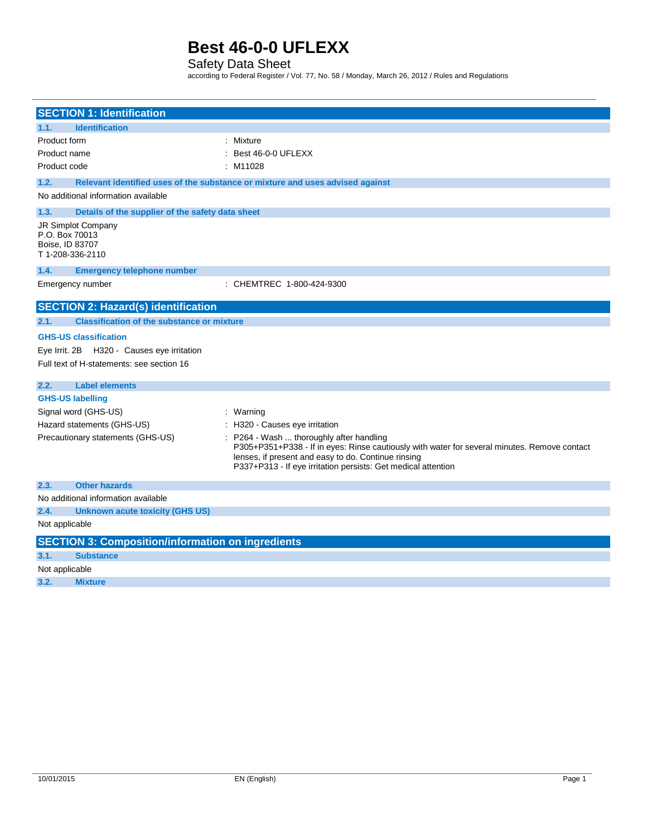### Safety Data Sheet

according to Federal Register / Vol. 77, No. 58 / Monday, March 26, 2012 / Rules and Regulations

| <b>SECTION 1: Identification</b>                                                        |                                                                                                                                                                                                                                                                  |
|-----------------------------------------------------------------------------------------|------------------------------------------------------------------------------------------------------------------------------------------------------------------------------------------------------------------------------------------------------------------|
| <b>Identification</b><br>1.1.                                                           |                                                                                                                                                                                                                                                                  |
| Product form                                                                            | : Mixture                                                                                                                                                                                                                                                        |
| Product name                                                                            | : Best 46-0-0 UFLEXX                                                                                                                                                                                                                                             |
| Product code                                                                            | : M11028                                                                                                                                                                                                                                                         |
| 1.2.                                                                                    | Relevant identified uses of the substance or mixture and uses advised against                                                                                                                                                                                    |
| No additional information available                                                     |                                                                                                                                                                                                                                                                  |
| 1.3.<br>Details of the supplier of the safety data sheet                                |                                                                                                                                                                                                                                                                  |
| JR Simplot Company<br>P.O. Box 70013<br>Boise, ID 83707<br>T1-208-336-2110              |                                                                                                                                                                                                                                                                  |
| 1.4.<br><b>Emergency telephone number</b>                                               |                                                                                                                                                                                                                                                                  |
| Emergency number                                                                        | : CHEMTREC 1-800-424-9300                                                                                                                                                                                                                                        |
| <b>SECTION 2: Hazard(s) identification</b>                                              |                                                                                                                                                                                                                                                                  |
| <b>Classification of the substance or mixture</b><br>2.1.                               |                                                                                                                                                                                                                                                                  |
| <b>GHS-US classification</b>                                                            |                                                                                                                                                                                                                                                                  |
| Eye Irrit. 2B H320 - Causes eye irritation<br>Full text of H-statements: see section 16 |                                                                                                                                                                                                                                                                  |
| <b>Label elements</b><br>2.2.                                                           |                                                                                                                                                                                                                                                                  |
| <b>GHS-US labelling</b>                                                                 |                                                                                                                                                                                                                                                                  |
| Signal word (GHS-US)                                                                    | : Warning                                                                                                                                                                                                                                                        |
| Hazard statements (GHS-US)                                                              | : H320 - Causes eye irritation                                                                                                                                                                                                                                   |
| Precautionary statements (GHS-US)                                                       | : P264 - Wash  thoroughly after handling<br>P305+P351+P338 - If in eyes: Rinse cautiously with water for several minutes. Remove contact<br>lenses, if present and easy to do. Continue rinsing<br>P337+P313 - If eye irritation persists: Get medical attention |
| <b>Other hazards</b><br>2.3.                                                            |                                                                                                                                                                                                                                                                  |
| No additional information available                                                     |                                                                                                                                                                                                                                                                  |
| <b>Unknown acute toxicity (GHS US)</b><br>2.4.                                          |                                                                                                                                                                                                                                                                  |
| Not applicable                                                                          |                                                                                                                                                                                                                                                                  |
| <b>SECTION 3: Composition/information on ingredients</b>                                |                                                                                                                                                                                                                                                                  |
| 3.1.<br><b>Substance</b>                                                                |                                                                                                                                                                                                                                                                  |
| Not applicable                                                                          |                                                                                                                                                                                                                                                                  |
| 3.2.<br><b>Mixture</b>                                                                  |                                                                                                                                                                                                                                                                  |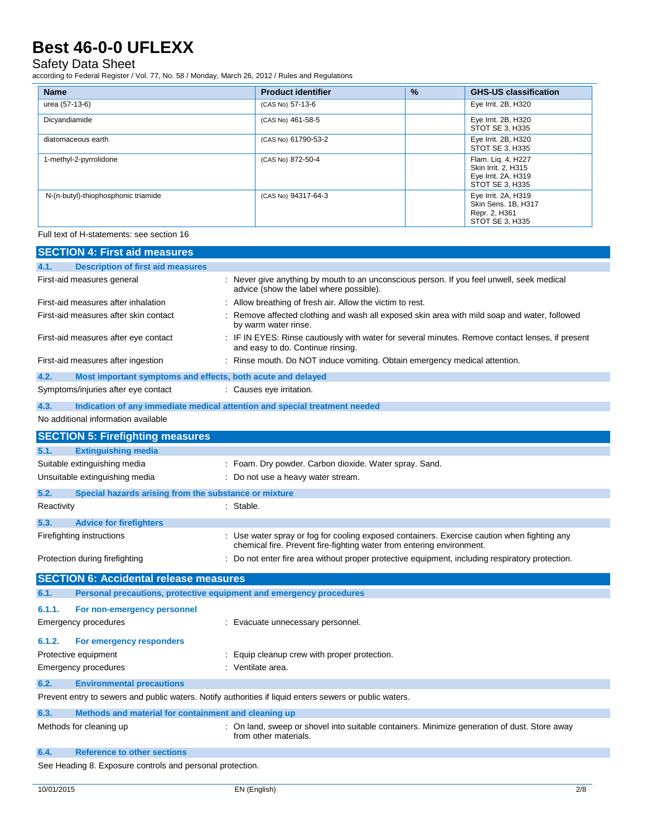## Safety Data Sheet

according to Federal Register / Vol. 77, No. 58 / Monday, March 26, 2012 / Rules and Regulations

| <b>Name</b>                         | <b>Product identifier</b> | $\frac{9}{6}$ | <b>GHS-US classification</b>                                                        |
|-------------------------------------|---------------------------|---------------|-------------------------------------------------------------------------------------|
| urea (57-13-6)                      | (CAS No) 57-13-6          |               | Eye Irrit. 2B, H320                                                                 |
| Dicyandiamide                       | (CAS No) 461-58-5         |               | Eye Irrit. 2B, H320<br>STOT SE 3, H335                                              |
| diatomaceous earth                  | (CAS No) 61790-53-2       |               | Eye Irrit. 2B, H320<br>STOT SE 3, H335                                              |
| 1-methyl-2-pyrrolidone              | (CAS No) 872-50-4         |               | Flam. Lig. 4, H227<br>Skin Irrit. 2. H315<br>Eye Irrit. 2A, H319<br>STOT SE 3, H335 |
| N-(n-butyl)-thiophosphonic triamide | (CAS No) 94317-64-3       |               | Eye Irrit. 2A, H319<br>Skin Sens. 1B, H317<br>Repr. 2, H361<br>STOT SE 3, H335      |

Full text of H-statements: see section 16

|                                                                           | <b>SECTION 4: First aid measures</b>                                |                                                                                                                                                                      |  |
|---------------------------------------------------------------------------|---------------------------------------------------------------------|----------------------------------------------------------------------------------------------------------------------------------------------------------------------|--|
| 4.1.                                                                      | <b>Description of first aid measures</b>                            |                                                                                                                                                                      |  |
| First-aid measures general                                                |                                                                     | : Never give anything by mouth to an unconscious person. If you feel unwell, seek medical<br>advice (show the label where possible).                                 |  |
| First-aid measures after inhalation                                       |                                                                     | : Allow breathing of fresh air. Allow the victim to rest.                                                                                                            |  |
| First-aid measures after skin contact                                     |                                                                     | : Remove affected clothing and wash all exposed skin area with mild soap and water, followed<br>by warm water rinse.                                                 |  |
| First-aid measures after eye contact<br>and easy to do. Continue rinsing. |                                                                     | : IF IN EYES: Rinse cautiously with water for several minutes. Remove contact lenses, if present                                                                     |  |
|                                                                           | First-aid measures after ingestion                                  | : Rinse mouth. Do NOT induce vomiting. Obtain emergency medical attention.                                                                                           |  |
| 4.2.                                                                      | Most important symptoms and effects, both acute and delayed         |                                                                                                                                                                      |  |
|                                                                           | Symptoms/injuries after eye contact                                 | : Causes eye irritation.                                                                                                                                             |  |
| 4.3.                                                                      |                                                                     | Indication of any immediate medical attention and special treatment needed                                                                                           |  |
|                                                                           | No additional information available                                 |                                                                                                                                                                      |  |
|                                                                           | <b>SECTION 5: Firefighting measures</b>                             |                                                                                                                                                                      |  |
| 5.1.                                                                      | <b>Extinguishing media</b>                                          |                                                                                                                                                                      |  |
|                                                                           | Suitable extinguishing media                                        | : Foam. Dry powder. Carbon dioxide. Water spray. Sand.                                                                                                               |  |
|                                                                           | Unsuitable extinguishing media                                      | : Do not use a heavy water stream.                                                                                                                                   |  |
| 5.2.                                                                      | Special hazards arising from the substance or mixture               |                                                                                                                                                                      |  |
| Reactivity                                                                |                                                                     | : Stable.                                                                                                                                                            |  |
| 5.3.                                                                      | <b>Advice for firefighters</b>                                      |                                                                                                                                                                      |  |
|                                                                           | Firefighting instructions                                           | : Use water spray or fog for cooling exposed containers. Exercise caution when fighting any<br>chemical fire. Prevent fire-fighting water from entering environment. |  |
|                                                                           | Protection during firefighting                                      | : Do not enter fire area without proper protective equipment, including respiratory protection.                                                                      |  |
|                                                                           | <b>SECTION 6: Accidental release measures</b>                       |                                                                                                                                                                      |  |
| 6.1.                                                                      | Personal precautions, protective equipment and emergency procedures |                                                                                                                                                                      |  |
| 6.1.1.                                                                    | For non-emergency personnel                                         |                                                                                                                                                                      |  |
|                                                                           | Emergency procedures                                                | : Evacuate unnecessary personnel.                                                                                                                                    |  |
| 6.1.2.                                                                    | For emergency responders                                            |                                                                                                                                                                      |  |
|                                                                           | Protective equipment                                                | : Equip cleanup crew with proper protection.                                                                                                                         |  |
|                                                                           | <b>Emergency procedures</b>                                         | : Ventilate area.                                                                                                                                                    |  |
| 6.2.                                                                      | <b>Environmental precautions</b>                                    |                                                                                                                                                                      |  |
|                                                                           |                                                                     | Prevent entry to sewers and public waters. Notify authorities if liquid enters sewers or public waters.                                                              |  |
| 6.3.                                                                      | Methods and material for containment and cleaning up                |                                                                                                                                                                      |  |
|                                                                           | Methods for cleaning up                                             | : On land, sweep or shovel into suitable containers. Minimize generation of dust. Store away<br>from other materials.                                                |  |
| 6.4.                                                                      | <b>Reference to other sections</b>                                  |                                                                                                                                                                      |  |
|                                                                           | See Heading 8. Exposure controls and personal protection.           |                                                                                                                                                                      |  |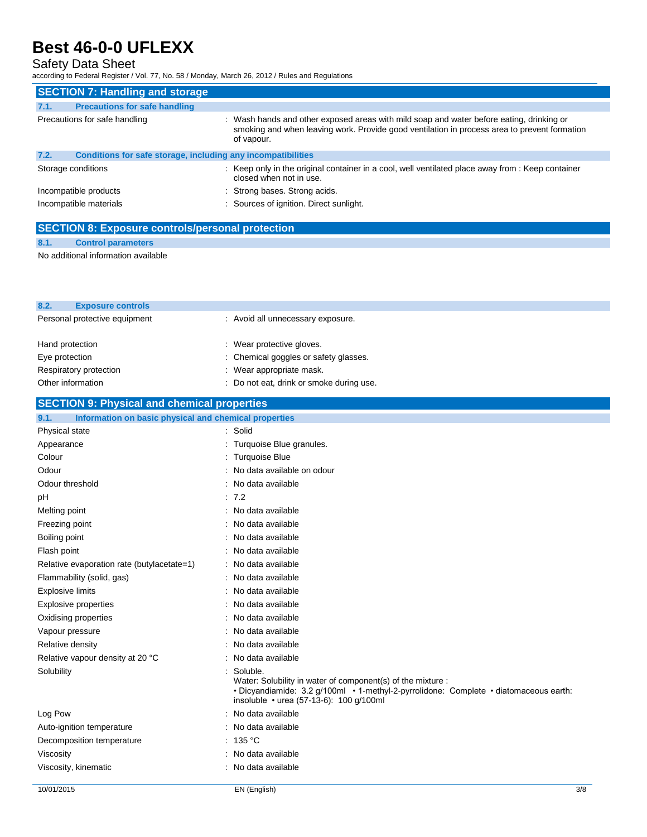## Safety Data Sheet

according to Federal Register / Vol. 77, No. 58 / Monday, March 26, 2012 / Rules and Regulations

| <b>SECTION 7: Handling and storage</b> |                                                              |                                                                                                                                                                                                        |  |
|----------------------------------------|--------------------------------------------------------------|--------------------------------------------------------------------------------------------------------------------------------------------------------------------------------------------------------|--|
| 7.1.                                   | <b>Precautions for safe handling</b>                         |                                                                                                                                                                                                        |  |
|                                        | Precautions for safe handling                                | : Wash hands and other exposed areas with mild soap and water before eating, drinking or<br>smoking and when leaving work. Provide good ventilation in process area to prevent formation<br>of vapour. |  |
| 7.2.                                   | Conditions for safe storage, including any incompatibilities |                                                                                                                                                                                                        |  |
|                                        | Storage conditions                                           | : Keep only in the original container in a cool, well ventilated place away from : Keep container<br>closed when not in use.                                                                           |  |
|                                        | Incompatible products                                        | : Strong bases. Strong acids.                                                                                                                                                                          |  |
|                                        | Incompatible materials                                       | : Sources of ignition. Direct sunlight.                                                                                                                                                                |  |

## **SECTION 8: Exposure controls/personal protection**

### **8.1. Control parameters**

No additional information available

| 8.2.<br><b>Exposure controls</b>                              |                                                                                                                                                                                                             |
|---------------------------------------------------------------|-------------------------------------------------------------------------------------------------------------------------------------------------------------------------------------------------------------|
| Personal protective equipment                                 | : Avoid all unnecessary exposure.                                                                                                                                                                           |
|                                                               |                                                                                                                                                                                                             |
| Hand protection                                               | : Wear protective gloves.                                                                                                                                                                                   |
| Eye protection                                                | Chemical goggles or safety glasses.                                                                                                                                                                         |
| Respiratory protection                                        | Wear appropriate mask.                                                                                                                                                                                      |
| Other information                                             | Do not eat, drink or smoke during use.                                                                                                                                                                      |
| <b>SECTION 9: Physical and chemical properties</b>            |                                                                                                                                                                                                             |
| Information on basic physical and chemical properties<br>9.1. |                                                                                                                                                                                                             |
| Physical state                                                | Solid                                                                                                                                                                                                       |
| Appearance                                                    | Turquoise Blue granules.                                                                                                                                                                                    |
| Colour                                                        | <b>Turquoise Blue</b>                                                                                                                                                                                       |
| Odour                                                         | No data available on odour                                                                                                                                                                                  |
| Odour threshold                                               | No data available                                                                                                                                                                                           |
| рH                                                            | : 7.2                                                                                                                                                                                                       |
| Melting point                                                 | : No data available                                                                                                                                                                                         |
| Freezing point                                                | : No data available                                                                                                                                                                                         |
| Boiling point                                                 | : No data available                                                                                                                                                                                         |
| Flash point                                                   | : No data available                                                                                                                                                                                         |
| Relative evaporation rate (butylacetate=1)                    | : No data available                                                                                                                                                                                         |
| Flammability (solid, gas)                                     | No data available                                                                                                                                                                                           |
| Explosive limits                                              | No data available                                                                                                                                                                                           |
| Explosive properties                                          | : No data available                                                                                                                                                                                         |
| Oxidising properties                                          | : No data available                                                                                                                                                                                         |
| Vapour pressure                                               | : No data available                                                                                                                                                                                         |
| Relative density                                              | No data available                                                                                                                                                                                           |
| Relative vapour density at 20 °C                              | No data available                                                                                                                                                                                           |
| Solubility                                                    | Soluble.<br>Water: Solubility in water of component(s) of the mixture :<br>• Dicyandiamide: 3.2 g/100ml • 1-methyl-2-pyrrolidone: Complete • diatomaceous earth:<br>insoluble • urea (57-13-6): 100 g/100ml |
| Log Pow                                                       | No data available                                                                                                                                                                                           |
| Auto-ignition temperature                                     | No data available                                                                                                                                                                                           |
| Decomposition temperature                                     | : 135 $^{\circ}$ C                                                                                                                                                                                          |
| Viscosity                                                     | : No data available                                                                                                                                                                                         |
| Viscosity, kinematic                                          | : No data available                                                                                                                                                                                         |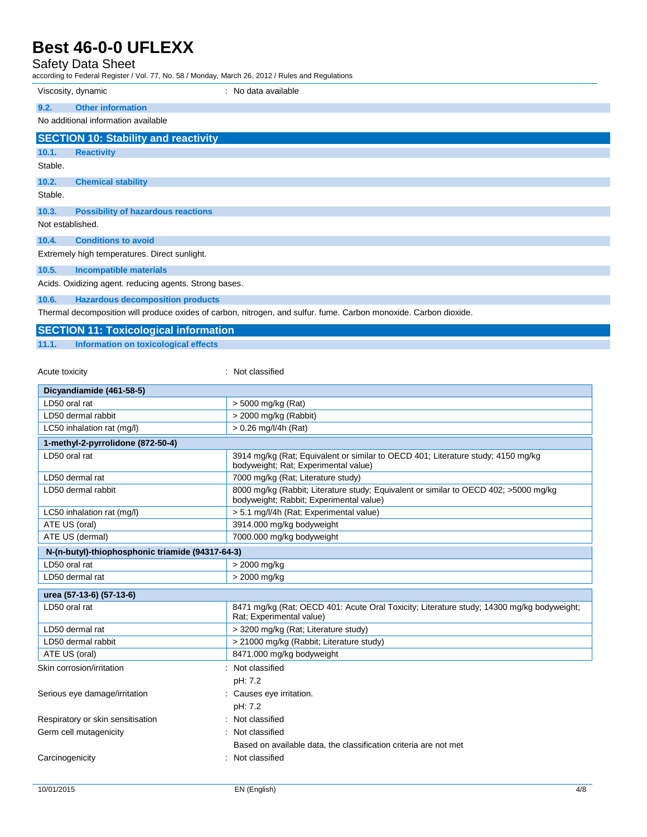## Safety Data Sheet

according to Federal Register / Vol. 77, No. 58 / Monday, March 26, 2012 / Rules and Regulations

|         | Viscosity, dynamic<br>: No data available                                                                                              |
|---------|----------------------------------------------------------------------------------------------------------------------------------------|
| 9.2.    | <b>Other information</b>                                                                                                               |
|         | No additional information available                                                                                                    |
|         | <b>SECTION 10: Stability and reactivity</b>                                                                                            |
| 10.1.   | <b>Reactivity</b>                                                                                                                      |
| Stable. |                                                                                                                                        |
| 10.2.   | <b>Chemical stability</b>                                                                                                              |
| Stable. |                                                                                                                                        |
| 10.3.   | <b>Possibility of hazardous reactions</b>                                                                                              |
|         | Not established.                                                                                                                       |
| 10.4.   | <b>Conditions to avoid</b>                                                                                                             |
|         | Extremely high temperatures. Direct sunlight.                                                                                          |
| 10.5.   | <b>Incompatible materials</b>                                                                                                          |
|         | Acids. Oxidizing agent. reducing agents. Strong bases.                                                                                 |
| 10.6.   | <b>Hazardous decomposition products</b>                                                                                                |
|         | The second decomposition of the contract of the decomposition of the following $\bigwedge$ subsequently. $\bigwedge$ subsequently, the |

Thermal decomposition will produce oxides of carbon, nitrogen, and sulfur. fume. Carbon monoxide. Carbon dioxide.

## **SECTION 11: Toxicological information**

**11.1. Information on toxicological effects**

Acute toxicity **in the case of the case of the case of the case of the case of the case of the case of the case of the case of the case of the case of the case of the case of the case of the case of the case of the case of** 

| Dicyandiamide (461-58-5)                                  |                                                                                                                                 |  |  |
|-----------------------------------------------------------|---------------------------------------------------------------------------------------------------------------------------------|--|--|
| LD50 oral rat                                             | > 5000 mg/kg (Rat)                                                                                                              |  |  |
| LD50 dermal rabbit                                        | > 2000 mg/kg (Rabbit)                                                                                                           |  |  |
| LC50 inhalation rat (mg/l)                                | $> 0.26$ mg/l/4h (Rat)                                                                                                          |  |  |
| 1-methyl-2-pyrrolidone (872-50-4)                         |                                                                                                                                 |  |  |
| LD50 oral rat                                             | 3914 mg/kg (Rat; Equivalent or similar to OECD 401; Literature study; 4150 mg/kg<br>bodyweight; Rat; Experimental value)        |  |  |
| LD50 dermal rat                                           | 7000 mg/kg (Rat; Literature study)                                                                                              |  |  |
| LD50 dermal rabbit                                        | 8000 mg/kg (Rabbit; Literature study; Equivalent or similar to OECD 402; >5000 mg/kg<br>bodyweight; Rabbit; Experimental value) |  |  |
| LC50 inhalation rat (mg/l)                                | > 5.1 mg/l/4h (Rat; Experimental value)                                                                                         |  |  |
| ATE US (oral)                                             | 3914.000 mg/kg bodyweight                                                                                                       |  |  |
| ATE US (dermal)                                           | 7000.000 mg/kg bodyweight                                                                                                       |  |  |
| N-(n-butyl)-thiophosphonic triamide (94317-64-3)          |                                                                                                                                 |  |  |
| LD50 oral rat                                             | > 2000 mg/kg                                                                                                                    |  |  |
| LD50 dermal rat                                           | > 2000 mg/kg                                                                                                                    |  |  |
| urea (57-13-6) (57-13-6)                                  |                                                                                                                                 |  |  |
| LD50 oral rat                                             | 8471 mg/kg (Rat: OECD 401: Acute Oral Toxicity: Literature study: 14300 mg/kg bodyweight:<br>Rat: Experimental value)           |  |  |
| LD50 dermal rat                                           | > 3200 mg/kg (Rat; Literature study)                                                                                            |  |  |
| LD50 dermal rabbit                                        | > 21000 mg/kg (Rabbit; Literature study)                                                                                        |  |  |
| ATE US (oral)                                             | 8471.000 mg/kg bodyweight                                                                                                       |  |  |
| Skin corrosion/irritation                                 | Not classified                                                                                                                  |  |  |
|                                                           | pH: 7.2                                                                                                                         |  |  |
| Serious eye damage/irritation<br>: Causes eye irritation. |                                                                                                                                 |  |  |
|                                                           | pH: 7.2                                                                                                                         |  |  |
| Respiratory or skin sensitisation                         | Not classified                                                                                                                  |  |  |
| Germ cell mutagenicity                                    | Not classified                                                                                                                  |  |  |
|                                                           | Based on available data, the classification criteria are not met                                                                |  |  |
| Carcinogenicity                                           | Not classified<br>٠                                                                                                             |  |  |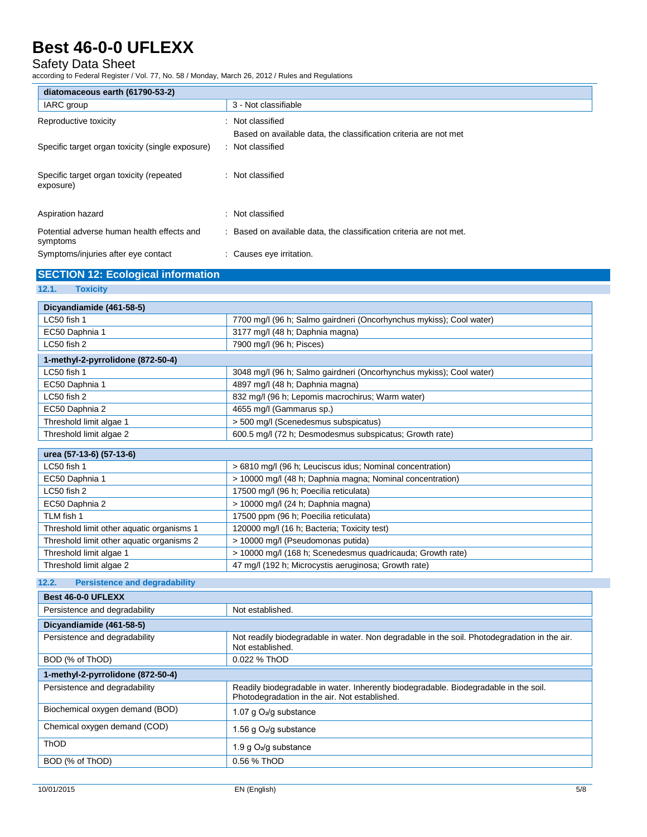## Safety Data Sheet

according to Federal Register / Vol. 77, No. 58 / Monday, March 26, 2012 / Rules and Regulations

| diatomaceous earth (61790-53-2)                        |                                                                     |  |
|--------------------------------------------------------|---------------------------------------------------------------------|--|
| IARC group                                             | 3 - Not classifiable                                                |  |
| Reproductive toxicity                                  | Not classified                                                      |  |
|                                                        | Based on available data, the classification criteria are not met    |  |
| Specific target organ toxicity (single exposure)       | : Not classified                                                    |  |
|                                                        |                                                                     |  |
| Specific target organ toxicity (repeated<br>exposure)  | : Not classified                                                    |  |
| Aspiration hazard                                      | : Not classified                                                    |  |
| Potential adverse human health effects and<br>symptoms | : Based on available data, the classification criteria are not met. |  |
| Symptoms/injuries after eye contact                    | : Causes eye irritation.                                            |  |
| <b>SECTION 12: Ecological information</b>              |                                                                     |  |
| 12.1.<br><b>Toxicity</b>                               |                                                                     |  |
| Dicyandiamide (461-58-5)                               |                                                                     |  |
| LC50 fish 1                                            | 7700 mg/l (96 h; Salmo gairdneri (Oncorhynchus mykiss); Cool water) |  |
| EC50 Daphnia 1                                         | 3177 mg/l (48 h; Daphnia magna)                                     |  |
| LC50 fish 2                                            | 7900 mg/l (96 h; Pisces)                                            |  |
| 1-methyl-2-pyrrolidone (872-50-4)                      |                                                                     |  |
| LC50 fish 1                                            | 3048 mg/l (96 h; Salmo gairdneri (Oncorhynchus mykiss); Cool water) |  |
| EC50 Daphnia 1                                         | 4897 mg/l (48 h; Daphnia magna)                                     |  |
| LC50 fish 2                                            | 832 mg/l (96 h; Lepomis macrochirus; Warm water)                    |  |
| EC50 Daphnia 2                                         | 4655 mg/l (Gammarus sp.)                                            |  |
| Threshold limit algae 1                                | > 500 mg/l (Scenedesmus subspicatus)                                |  |
| Threshold limit algae 2                                | 600.5 mg/l (72 h; Desmodesmus subspicatus; Growth rate)             |  |
| urea (57-13-6) (57-13-6)                               |                                                                     |  |
| LC50 fish 1                                            | > 6810 mg/l (96 h; Leuciscus idus; Nominal concentration)           |  |
|                                                        |                                                                     |  |

| LC50 fish 1                               | > 6810 mg/l (96 h; Leuciscus idus; Nominal concentration)  |  |
|-------------------------------------------|------------------------------------------------------------|--|
| EC50 Daphnia 1                            | > 10000 mg/l (48 h; Daphnia magna; Nominal concentration)  |  |
| LC50 fish 2                               | 17500 mg/l (96 h; Poecilia reticulata)                     |  |
| EC50 Daphnia 2                            | > 10000 mg/l (24 h; Daphnia magna)                         |  |
| TLM fish 1                                | 17500 ppm (96 h; Poecilia reticulata)                      |  |
| Threshold limit other aquatic organisms 1 | 120000 mg/l (16 h; Bacteria; Toxicity test)                |  |
| Threshold limit other aquatic organisms 2 | > 10000 mg/l (Pseudomonas putida)                          |  |
| Threshold limit algae 1                   | > 10000 mg/l (168 h; Scenedesmus quadricauda; Growth rate) |  |
| Threshold limit algae 2                   | 47 mg/l (192 h; Microcystis aeruginosa; Growth rate)       |  |

## **12.2. Persistence and degradability**

| <b>Best 46-0-0 UFLEXX</b>         |                                                                                                                                       |  |
|-----------------------------------|---------------------------------------------------------------------------------------------------------------------------------------|--|
| Persistence and degradability     | Not established.                                                                                                                      |  |
| Dicyandiamide (461-58-5)          |                                                                                                                                       |  |
| Persistence and degradability     | Not readily biodegradable in water. Non degradable in the soil. Photodegradation in the air.<br>Not established.                      |  |
| BOD (% of ThOD)                   | 0.022 % ThOD                                                                                                                          |  |
| 1-methyl-2-pyrrolidone (872-50-4) |                                                                                                                                       |  |
| Persistence and degradability     | Readily biodegradable in water. Inherently biodegradable. Biodegradable in the soil.<br>Photodegradation in the air. Not established. |  |
| Biochemical oxygen demand (BOD)   | 1.07 g O <sub>2</sub> /g substance                                                                                                    |  |
| Chemical oxygen demand (COD)      | 1.56 g O2/g substance                                                                                                                 |  |
| <b>ThOD</b>                       | 1.9 g $O_2$ /g substance                                                                                                              |  |
| BOD (% of ThOD)                   | 0.56 % ThOD                                                                                                                           |  |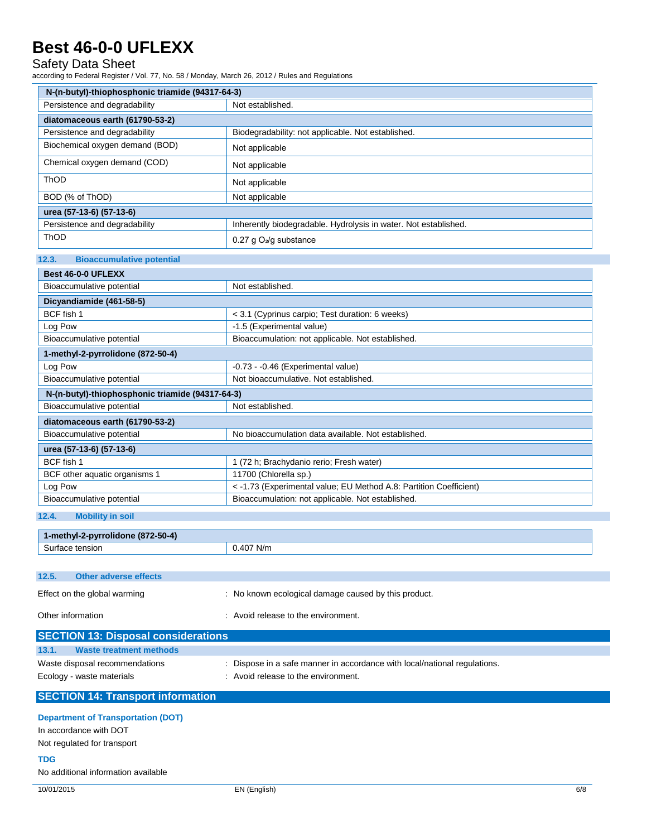## Safety Data Sheet

according to Federal Register / Vol. 77, No. 58 / Monday, March 26, 2012 / Rules and Regulations

| Persistence and degradability<br>Not established.<br>diatomaceous earth (61790-53-2)<br>Persistence and degradability<br>Biodegradability: not applicable. Not established.<br>Biochemical oxygen demand (BOD)<br>Not applicable<br>Chemical oxygen demand (COD)<br>Not applicable<br>ThOD<br>Not applicable<br>BOD (% of ThOD)<br>Not applicable<br>urea (57-13-6) (57-13-6)<br>Persistence and degradability<br>Inherently biodegradable. Hydrolysis in water. Not established.<br>ThOD<br>0.27 g O <sub>2</sub> /g substance<br>12.3.<br><b>Bioaccumulative potential</b><br><b>Best 46-0-0 UFLEXX</b><br>Bioaccumulative potential<br>Not established.<br>Dicyandiamide (461-58-5)<br>BCF fish 1<br>< 3.1 (Cyprinus carpio; Test duration: 6 weeks)<br>Log Pow<br>-1.5 (Experimental value)<br>Bioaccumulative potential<br>Bioaccumulation: not applicable. Not established.<br>1-methyl-2-pyrrolidone (872-50-4)<br>Log Pow<br>-0.73 - -0.46 (Experimental value)<br>Bioaccumulative potential<br>Not bioaccumulative. Not established.<br>N-(n-butyl)-thiophosphonic triamide (94317-64-3)<br>Bioaccumulative potential<br>Not established.<br>diatomaceous earth (61790-53-2)<br>Bioaccumulative potential<br>No bioaccumulation data available. Not established.<br>urea (57-13-6) (57-13-6)<br>BCF fish 1<br>1 (72 h; Brachydanio rerio; Fresh water)<br>11700 (Chlorella sp.)<br>BCF other aquatic organisms 1<br>< -1.73 (Experimental value; EU Method A.8: Partition Coefficient)<br>Log Pow<br>Bioaccumulative potential<br>Bioaccumulation: not applicable. Not established.<br><b>Mobility in soil</b><br>1-methyl-2-pyrrolidone (872-50-4)<br>Surface tension<br>0.407 N/m<br><b>Other adverse effects</b><br>: No known ecological damage caused by this product.<br>: Avoid release to the environment.<br><b>SECTION 13: Disposal considerations</b><br><b>Waste treatment methods</b><br>: Dispose in a safe manner in accordance with local/national regulations.<br>: Avoid release to the environment.<br><b>SECTION 14: Transport information</b><br><b>Department of Transportation (DOT)</b><br>In accordance with DOT<br>Not regulated for transport<br>TDG | N-(n-butyl)-thiophosphonic triamide (94317-64-3) |  |  |  |
|------------------------------------------------------------------------------------------------------------------------------------------------------------------------------------------------------------------------------------------------------------------------------------------------------------------------------------------------------------------------------------------------------------------------------------------------------------------------------------------------------------------------------------------------------------------------------------------------------------------------------------------------------------------------------------------------------------------------------------------------------------------------------------------------------------------------------------------------------------------------------------------------------------------------------------------------------------------------------------------------------------------------------------------------------------------------------------------------------------------------------------------------------------------------------------------------------------------------------------------------------------------------------------------------------------------------------------------------------------------------------------------------------------------------------------------------------------------------------------------------------------------------------------------------------------------------------------------------------------------------------------------------------------------------------------------------------------------------------------------------------------------------------------------------------------------------------------------------------------------------------------------------------------------------------------------------------------------------------------------------------------------------------------------------------------------------------------------------------------------------------------------------------------------------------------------|--------------------------------------------------|--|--|--|
|                                                                                                                                                                                                                                                                                                                                                                                                                                                                                                                                                                                                                                                                                                                                                                                                                                                                                                                                                                                                                                                                                                                                                                                                                                                                                                                                                                                                                                                                                                                                                                                                                                                                                                                                                                                                                                                                                                                                                                                                                                                                                                                                                                                          |                                                  |  |  |  |
|                                                                                                                                                                                                                                                                                                                                                                                                                                                                                                                                                                                                                                                                                                                                                                                                                                                                                                                                                                                                                                                                                                                                                                                                                                                                                                                                                                                                                                                                                                                                                                                                                                                                                                                                                                                                                                                                                                                                                                                                                                                                                                                                                                                          |                                                  |  |  |  |
|                                                                                                                                                                                                                                                                                                                                                                                                                                                                                                                                                                                                                                                                                                                                                                                                                                                                                                                                                                                                                                                                                                                                                                                                                                                                                                                                                                                                                                                                                                                                                                                                                                                                                                                                                                                                                                                                                                                                                                                                                                                                                                                                                                                          |                                                  |  |  |  |
|                                                                                                                                                                                                                                                                                                                                                                                                                                                                                                                                                                                                                                                                                                                                                                                                                                                                                                                                                                                                                                                                                                                                                                                                                                                                                                                                                                                                                                                                                                                                                                                                                                                                                                                                                                                                                                                                                                                                                                                                                                                                                                                                                                                          |                                                  |  |  |  |
|                                                                                                                                                                                                                                                                                                                                                                                                                                                                                                                                                                                                                                                                                                                                                                                                                                                                                                                                                                                                                                                                                                                                                                                                                                                                                                                                                                                                                                                                                                                                                                                                                                                                                                                                                                                                                                                                                                                                                                                                                                                                                                                                                                                          |                                                  |  |  |  |
|                                                                                                                                                                                                                                                                                                                                                                                                                                                                                                                                                                                                                                                                                                                                                                                                                                                                                                                                                                                                                                                                                                                                                                                                                                                                                                                                                                                                                                                                                                                                                                                                                                                                                                                                                                                                                                                                                                                                                                                                                                                                                                                                                                                          |                                                  |  |  |  |
|                                                                                                                                                                                                                                                                                                                                                                                                                                                                                                                                                                                                                                                                                                                                                                                                                                                                                                                                                                                                                                                                                                                                                                                                                                                                                                                                                                                                                                                                                                                                                                                                                                                                                                                                                                                                                                                                                                                                                                                                                                                                                                                                                                                          |                                                  |  |  |  |
|                                                                                                                                                                                                                                                                                                                                                                                                                                                                                                                                                                                                                                                                                                                                                                                                                                                                                                                                                                                                                                                                                                                                                                                                                                                                                                                                                                                                                                                                                                                                                                                                                                                                                                                                                                                                                                                                                                                                                                                                                                                                                                                                                                                          |                                                  |  |  |  |
|                                                                                                                                                                                                                                                                                                                                                                                                                                                                                                                                                                                                                                                                                                                                                                                                                                                                                                                                                                                                                                                                                                                                                                                                                                                                                                                                                                                                                                                                                                                                                                                                                                                                                                                                                                                                                                                                                                                                                                                                                                                                                                                                                                                          |                                                  |  |  |  |
|                                                                                                                                                                                                                                                                                                                                                                                                                                                                                                                                                                                                                                                                                                                                                                                                                                                                                                                                                                                                                                                                                                                                                                                                                                                                                                                                                                                                                                                                                                                                                                                                                                                                                                                                                                                                                                                                                                                                                                                                                                                                                                                                                                                          |                                                  |  |  |  |
|                                                                                                                                                                                                                                                                                                                                                                                                                                                                                                                                                                                                                                                                                                                                                                                                                                                                                                                                                                                                                                                                                                                                                                                                                                                                                                                                                                                                                                                                                                                                                                                                                                                                                                                                                                                                                                                                                                                                                                                                                                                                                                                                                                                          |                                                  |  |  |  |
|                                                                                                                                                                                                                                                                                                                                                                                                                                                                                                                                                                                                                                                                                                                                                                                                                                                                                                                                                                                                                                                                                                                                                                                                                                                                                                                                                                                                                                                                                                                                                                                                                                                                                                                                                                                                                                                                                                                                                                                                                                                                                                                                                                                          |                                                  |  |  |  |
|                                                                                                                                                                                                                                                                                                                                                                                                                                                                                                                                                                                                                                                                                                                                                                                                                                                                                                                                                                                                                                                                                                                                                                                                                                                                                                                                                                                                                                                                                                                                                                                                                                                                                                                                                                                                                                                                                                                                                                                                                                                                                                                                                                                          |                                                  |  |  |  |
|                                                                                                                                                                                                                                                                                                                                                                                                                                                                                                                                                                                                                                                                                                                                                                                                                                                                                                                                                                                                                                                                                                                                                                                                                                                                                                                                                                                                                                                                                                                                                                                                                                                                                                                                                                                                                                                                                                                                                                                                                                                                                                                                                                                          |                                                  |  |  |  |
|                                                                                                                                                                                                                                                                                                                                                                                                                                                                                                                                                                                                                                                                                                                                                                                                                                                                                                                                                                                                                                                                                                                                                                                                                                                                                                                                                                                                                                                                                                                                                                                                                                                                                                                                                                                                                                                                                                                                                                                                                                                                                                                                                                                          |                                                  |  |  |  |
|                                                                                                                                                                                                                                                                                                                                                                                                                                                                                                                                                                                                                                                                                                                                                                                                                                                                                                                                                                                                                                                                                                                                                                                                                                                                                                                                                                                                                                                                                                                                                                                                                                                                                                                                                                                                                                                                                                                                                                                                                                                                                                                                                                                          |                                                  |  |  |  |
|                                                                                                                                                                                                                                                                                                                                                                                                                                                                                                                                                                                                                                                                                                                                                                                                                                                                                                                                                                                                                                                                                                                                                                                                                                                                                                                                                                                                                                                                                                                                                                                                                                                                                                                                                                                                                                                                                                                                                                                                                                                                                                                                                                                          |                                                  |  |  |  |
|                                                                                                                                                                                                                                                                                                                                                                                                                                                                                                                                                                                                                                                                                                                                                                                                                                                                                                                                                                                                                                                                                                                                                                                                                                                                                                                                                                                                                                                                                                                                                                                                                                                                                                                                                                                                                                                                                                                                                                                                                                                                                                                                                                                          |                                                  |  |  |  |
|                                                                                                                                                                                                                                                                                                                                                                                                                                                                                                                                                                                                                                                                                                                                                                                                                                                                                                                                                                                                                                                                                                                                                                                                                                                                                                                                                                                                                                                                                                                                                                                                                                                                                                                                                                                                                                                                                                                                                                                                                                                                                                                                                                                          |                                                  |  |  |  |
|                                                                                                                                                                                                                                                                                                                                                                                                                                                                                                                                                                                                                                                                                                                                                                                                                                                                                                                                                                                                                                                                                                                                                                                                                                                                                                                                                                                                                                                                                                                                                                                                                                                                                                                                                                                                                                                                                                                                                                                                                                                                                                                                                                                          |                                                  |  |  |  |
|                                                                                                                                                                                                                                                                                                                                                                                                                                                                                                                                                                                                                                                                                                                                                                                                                                                                                                                                                                                                                                                                                                                                                                                                                                                                                                                                                                                                                                                                                                                                                                                                                                                                                                                                                                                                                                                                                                                                                                                                                                                                                                                                                                                          |                                                  |  |  |  |
|                                                                                                                                                                                                                                                                                                                                                                                                                                                                                                                                                                                                                                                                                                                                                                                                                                                                                                                                                                                                                                                                                                                                                                                                                                                                                                                                                                                                                                                                                                                                                                                                                                                                                                                                                                                                                                                                                                                                                                                                                                                                                                                                                                                          |                                                  |  |  |  |
|                                                                                                                                                                                                                                                                                                                                                                                                                                                                                                                                                                                                                                                                                                                                                                                                                                                                                                                                                                                                                                                                                                                                                                                                                                                                                                                                                                                                                                                                                                                                                                                                                                                                                                                                                                                                                                                                                                                                                                                                                                                                                                                                                                                          |                                                  |  |  |  |
|                                                                                                                                                                                                                                                                                                                                                                                                                                                                                                                                                                                                                                                                                                                                                                                                                                                                                                                                                                                                                                                                                                                                                                                                                                                                                                                                                                                                                                                                                                                                                                                                                                                                                                                                                                                                                                                                                                                                                                                                                                                                                                                                                                                          |                                                  |  |  |  |
|                                                                                                                                                                                                                                                                                                                                                                                                                                                                                                                                                                                                                                                                                                                                                                                                                                                                                                                                                                                                                                                                                                                                                                                                                                                                                                                                                                                                                                                                                                                                                                                                                                                                                                                                                                                                                                                                                                                                                                                                                                                                                                                                                                                          |                                                  |  |  |  |
|                                                                                                                                                                                                                                                                                                                                                                                                                                                                                                                                                                                                                                                                                                                                                                                                                                                                                                                                                                                                                                                                                                                                                                                                                                                                                                                                                                                                                                                                                                                                                                                                                                                                                                                                                                                                                                                                                                                                                                                                                                                                                                                                                                                          |                                                  |  |  |  |
|                                                                                                                                                                                                                                                                                                                                                                                                                                                                                                                                                                                                                                                                                                                                                                                                                                                                                                                                                                                                                                                                                                                                                                                                                                                                                                                                                                                                                                                                                                                                                                                                                                                                                                                                                                                                                                                                                                                                                                                                                                                                                                                                                                                          |                                                  |  |  |  |
|                                                                                                                                                                                                                                                                                                                                                                                                                                                                                                                                                                                                                                                                                                                                                                                                                                                                                                                                                                                                                                                                                                                                                                                                                                                                                                                                                                                                                                                                                                                                                                                                                                                                                                                                                                                                                                                                                                                                                                                                                                                                                                                                                                                          |                                                  |  |  |  |
|                                                                                                                                                                                                                                                                                                                                                                                                                                                                                                                                                                                                                                                                                                                                                                                                                                                                                                                                                                                                                                                                                                                                                                                                                                                                                                                                                                                                                                                                                                                                                                                                                                                                                                                                                                                                                                                                                                                                                                                                                                                                                                                                                                                          |                                                  |  |  |  |
|                                                                                                                                                                                                                                                                                                                                                                                                                                                                                                                                                                                                                                                                                                                                                                                                                                                                                                                                                                                                                                                                                                                                                                                                                                                                                                                                                                                                                                                                                                                                                                                                                                                                                                                                                                                                                                                                                                                                                                                                                                                                                                                                                                                          | 12.4.                                            |  |  |  |
|                                                                                                                                                                                                                                                                                                                                                                                                                                                                                                                                                                                                                                                                                                                                                                                                                                                                                                                                                                                                                                                                                                                                                                                                                                                                                                                                                                                                                                                                                                                                                                                                                                                                                                                                                                                                                                                                                                                                                                                                                                                                                                                                                                                          |                                                  |  |  |  |
|                                                                                                                                                                                                                                                                                                                                                                                                                                                                                                                                                                                                                                                                                                                                                                                                                                                                                                                                                                                                                                                                                                                                                                                                                                                                                                                                                                                                                                                                                                                                                                                                                                                                                                                                                                                                                                                                                                                                                                                                                                                                                                                                                                                          |                                                  |  |  |  |
|                                                                                                                                                                                                                                                                                                                                                                                                                                                                                                                                                                                                                                                                                                                                                                                                                                                                                                                                                                                                                                                                                                                                                                                                                                                                                                                                                                                                                                                                                                                                                                                                                                                                                                                                                                                                                                                                                                                                                                                                                                                                                                                                                                                          |                                                  |  |  |  |
|                                                                                                                                                                                                                                                                                                                                                                                                                                                                                                                                                                                                                                                                                                                                                                                                                                                                                                                                                                                                                                                                                                                                                                                                                                                                                                                                                                                                                                                                                                                                                                                                                                                                                                                                                                                                                                                                                                                                                                                                                                                                                                                                                                                          | 12.5.                                            |  |  |  |
|                                                                                                                                                                                                                                                                                                                                                                                                                                                                                                                                                                                                                                                                                                                                                                                                                                                                                                                                                                                                                                                                                                                                                                                                                                                                                                                                                                                                                                                                                                                                                                                                                                                                                                                                                                                                                                                                                                                                                                                                                                                                                                                                                                                          | Effect on the global warming                     |  |  |  |
|                                                                                                                                                                                                                                                                                                                                                                                                                                                                                                                                                                                                                                                                                                                                                                                                                                                                                                                                                                                                                                                                                                                                                                                                                                                                                                                                                                                                                                                                                                                                                                                                                                                                                                                                                                                                                                                                                                                                                                                                                                                                                                                                                                                          | Other information                                |  |  |  |
|                                                                                                                                                                                                                                                                                                                                                                                                                                                                                                                                                                                                                                                                                                                                                                                                                                                                                                                                                                                                                                                                                                                                                                                                                                                                                                                                                                                                                                                                                                                                                                                                                                                                                                                                                                                                                                                                                                                                                                                                                                                                                                                                                                                          |                                                  |  |  |  |
|                                                                                                                                                                                                                                                                                                                                                                                                                                                                                                                                                                                                                                                                                                                                                                                                                                                                                                                                                                                                                                                                                                                                                                                                                                                                                                                                                                                                                                                                                                                                                                                                                                                                                                                                                                                                                                                                                                                                                                                                                                                                                                                                                                                          | 13.1.                                            |  |  |  |
|                                                                                                                                                                                                                                                                                                                                                                                                                                                                                                                                                                                                                                                                                                                                                                                                                                                                                                                                                                                                                                                                                                                                                                                                                                                                                                                                                                                                                                                                                                                                                                                                                                                                                                                                                                                                                                                                                                                                                                                                                                                                                                                                                                                          | Waste disposal recommendations                   |  |  |  |
|                                                                                                                                                                                                                                                                                                                                                                                                                                                                                                                                                                                                                                                                                                                                                                                                                                                                                                                                                                                                                                                                                                                                                                                                                                                                                                                                                                                                                                                                                                                                                                                                                                                                                                                                                                                                                                                                                                                                                                                                                                                                                                                                                                                          | Ecology - waste materials                        |  |  |  |
|                                                                                                                                                                                                                                                                                                                                                                                                                                                                                                                                                                                                                                                                                                                                                                                                                                                                                                                                                                                                                                                                                                                                                                                                                                                                                                                                                                                                                                                                                                                                                                                                                                                                                                                                                                                                                                                                                                                                                                                                                                                                                                                                                                                          |                                                  |  |  |  |
|                                                                                                                                                                                                                                                                                                                                                                                                                                                                                                                                                                                                                                                                                                                                                                                                                                                                                                                                                                                                                                                                                                                                                                                                                                                                                                                                                                                                                                                                                                                                                                                                                                                                                                                                                                                                                                                                                                                                                                                                                                                                                                                                                                                          |                                                  |  |  |  |
|                                                                                                                                                                                                                                                                                                                                                                                                                                                                                                                                                                                                                                                                                                                                                                                                                                                                                                                                                                                                                                                                                                                                                                                                                                                                                                                                                                                                                                                                                                                                                                                                                                                                                                                                                                                                                                                                                                                                                                                                                                                                                                                                                                                          |                                                  |  |  |  |
|                                                                                                                                                                                                                                                                                                                                                                                                                                                                                                                                                                                                                                                                                                                                                                                                                                                                                                                                                                                                                                                                                                                                                                                                                                                                                                                                                                                                                                                                                                                                                                                                                                                                                                                                                                                                                                                                                                                                                                                                                                                                                                                                                                                          |                                                  |  |  |  |
|                                                                                                                                                                                                                                                                                                                                                                                                                                                                                                                                                                                                                                                                                                                                                                                                                                                                                                                                                                                                                                                                                                                                                                                                                                                                                                                                                                                                                                                                                                                                                                                                                                                                                                                                                                                                                                                                                                                                                                                                                                                                                                                                                                                          |                                                  |  |  |  |
|                                                                                                                                                                                                                                                                                                                                                                                                                                                                                                                                                                                                                                                                                                                                                                                                                                                                                                                                                                                                                                                                                                                                                                                                                                                                                                                                                                                                                                                                                                                                                                                                                                                                                                                                                                                                                                                                                                                                                                                                                                                                                                                                                                                          | No additional information available              |  |  |  |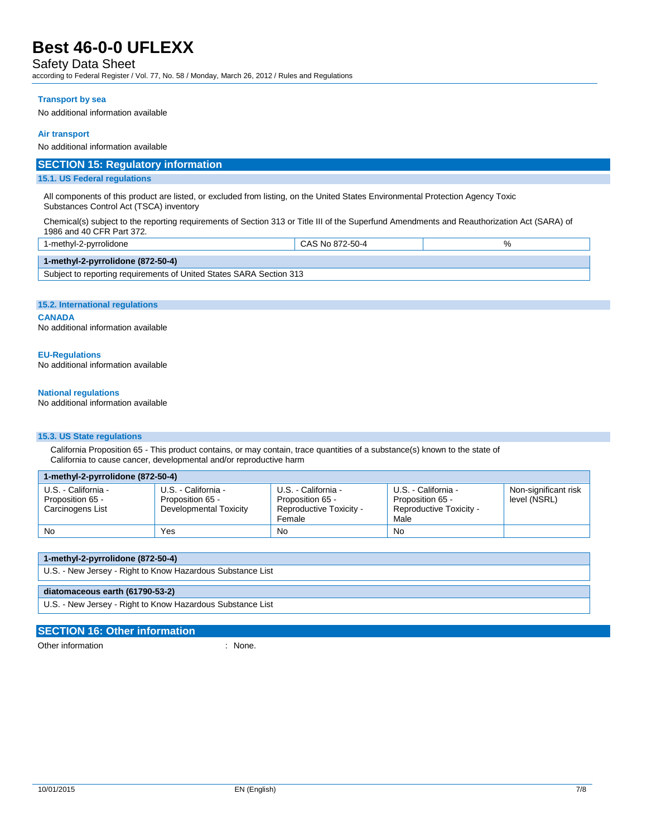### Safety Data Sheet

according to Federal Register / Vol. 77, No. 58 / Monday, March 26, 2012 / Rules and Regulations

#### **Transport by sea**

No additional information available

#### **Air transport**

No additional information available

### **SECTION 15: Regulatory information**

### **15.1. US Federal regulations**

All components of this product are listed, or excluded from listing, on the United States Environmental Protection Agency Toxic Substances Control Act (TSCA) inventory

Chemical(s) subject to the reporting requirements of Section 313 or Title III of the Superfund Amendments and Reauthorization Act (SARA) of 1986 and 40 CFR Part 372.

| 1-methyl-2-pyrrolidone                                              | CAS No 872-50-4 |  |  |
|---------------------------------------------------------------------|-----------------|--|--|
| 1-methyl-2-pyrrolidone $(872-50-4)$                                 |                 |  |  |
| Subject to reporting requirements of United States SARA Section 313 |                 |  |  |

#### **15.2. International regulations**

#### **CANADA**

Н

No additional information available

### **EU-Regulations**

No additional information available

#### **National regulations**

No additional information available

### **15.3. US State regulations**

California Proposition 65 - This product contains, or may contain, trace quantities of a substance(s) known to the state of California to cause cancer, developmental and/or reproductive harm

| 1-methyl-2-pyrrolidone (872-50-4)                           |                                                                   |                                                                              |                                                                            |                                      |  |
|-------------------------------------------------------------|-------------------------------------------------------------------|------------------------------------------------------------------------------|----------------------------------------------------------------------------|--------------------------------------|--|
| U.S. - California -<br>Proposition 65 -<br>Carcinogens List | U.S. - California -<br>Proposition 65 -<br>Developmental Toxicity | U.S. - California -<br>Proposition 65 -<br>Reproductive Toxicity -<br>Female | U.S. - California -<br>Proposition 65 -<br>Reproductive Toxicity -<br>Male | Non-significant risk<br>level (NSRL) |  |
| No                                                          | Yes                                                               | No                                                                           | No                                                                         |                                      |  |

| 1-methyl-2-pyrrolidone (872-50-4)                          |  |  |
|------------------------------------------------------------|--|--|
| U.S. - New Jersey - Right to Know Hazardous Substance List |  |  |
|                                                            |  |  |
| diatomaceous earth (61790-53-2)                            |  |  |

### **SECTION 16: Other information**

Other information : None.